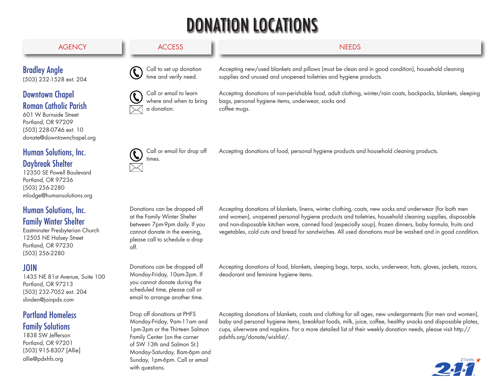## DONATION LOCATIONS



#### Family Winter Shelter

Eastminster Presbyterian Church 12505 NE Halsey Street Portland, OR 97230 (503) 256-2280

## JOIN

1435 NE 81st Avenue, Suite 100 Portland, OR 97213 (503) 232-7052 ext. 204 slinden@joinpdx.com

## Portland Homeless

## Family Solutions

1838 SW Jefferson Portland, OR 97201 (503) 915-8307 [Allie] allie@pdxhfs.org

Accepting donations of non-perishable food, adult clothing, winter/rain coats, backpacks, blankets, sleeping

at the Family Winter Shelter cannot donate in the evening, off.

between 7pm-9pm daily. If you please call to schedule a drop

Donations can be dropped off Monday-Friday, 10am-3pm. If you cannot donate during the scheduled time, please call or email to arrange another time.

Drop off donations at PHFS Monday-Friday, 9am-11am and 1pm-3pm or the Thirteen Salmon Family Center (on the corner of SW 13th and Salmon St.) Monday-Saturday, 8am-6pm and Sunday, 1pm-6pm. Call or email

with questions.

and women), unopened personal hygiene products and toiletries, household cleaning supplies, disposable and non-disposable kitchen ware, canned food (especially soup), frozen dinners, baby formula, fruits and vegetables, cold cuts and bread for sandwiches. All used donations must be washed and in good condition.

Accepting donations of food, blankets, sleeping bags, tarps, socks, underwear, hats, gloves, jackets, razors, deodorant and feminine hygiene items.

Accepting donations of blankets, coats and clothing for all ages, new undergarments (for men and women), baby and personal hygiene items, breakfast foods, milk, juice, coffee, healthy snacks and disposable plates, cups, silverware and napkins. For a more detailed list of their weekly donation needs, please visit http:// pdxhfs.org/donate/wishlist/.